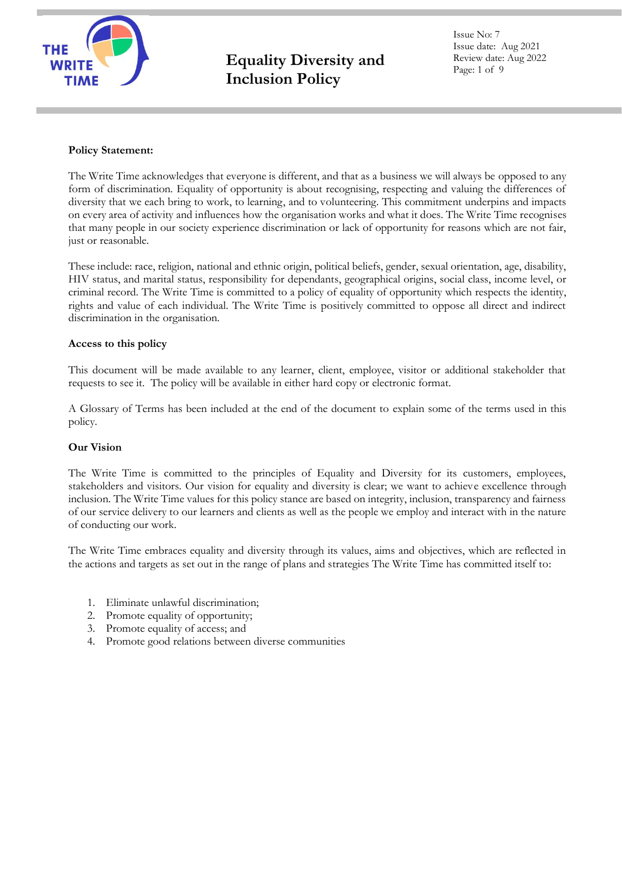

Issue No: 7 Issue date: Aug 2021 Review date: Aug 2022 Page: 1 of 9

# **Policy Statement:**

The Write Time acknowledges that everyone is different, and that as a business we will always be opposed to any form of discrimination. Equality of opportunity is about recognising, respecting and valuing the differences of diversity that we each bring to work, to learning, and to volunteering. This commitment underpins and impacts on every area of activity and influences how the organisation works and what it does. The Write Time recognises that many people in our society experience discrimination or lack of opportunity for reasons which are not fair, just or reasonable.

These include: race, religion, national and ethnic origin, political beliefs, gender, sexual orientation, age, disability, HIV status, and marital status, responsibility for dependants, geographical origins, social class, income level, or criminal record. The Write Time is committed to a policy of equality of opportunity which respects the identity, rights and value of each individual. The Write Time is positively committed to oppose all direct and indirect discrimination in the organisation.

# **Access to this policy**

This document will be made available to any learner, client, employee, visitor or additional stakeholder that requests to see it. The policy will be available in either hard copy or electronic format.

A Glossary of Terms has been included at the end of the document to explain some of the terms used in this policy.

## **Our Vision**

The Write Time is committed to the principles of Equality and Diversity for its customers, employees, stakeholders and visitors. Our vision for equality and diversity is clear; we want to achieve excellence through inclusion. The Write Time values for this policy stance are based on integrity, inclusion, transparency and fairness of our service delivery to our learners and clients as well as the people we employ and interact with in the nature of conducting our work.

The Write Time embraces equality and diversity through its values, aims and objectives, which are reflected in the actions and targets as set out in the range of plans and strategies The Write Time has committed itself to:

- 1. Eliminate unlawful discrimination;
- 2. Promote equality of opportunity;
- 3. Promote equality of access; and
- 4. Promote good relations between diverse communities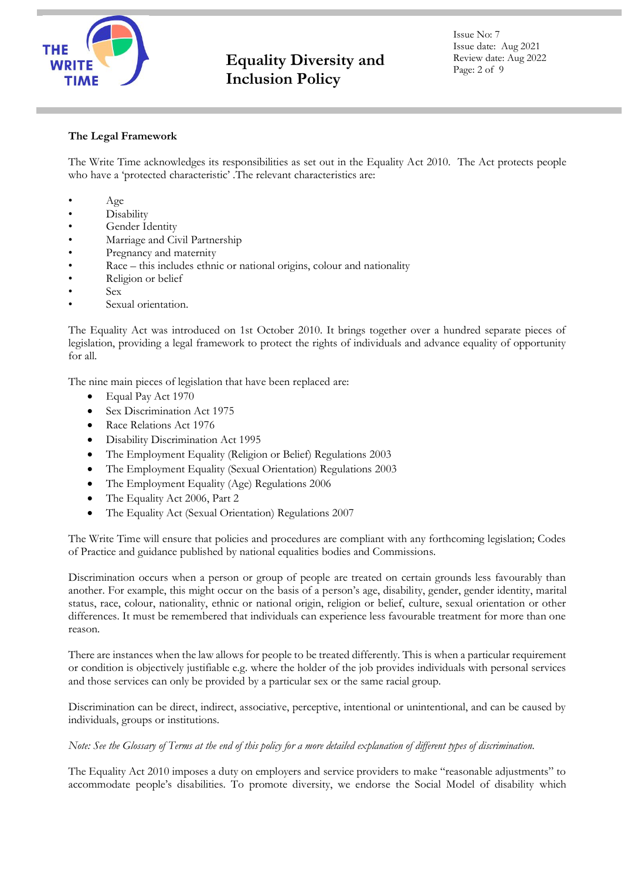

Issue No: 7 Issue date: Aug 2021 Review date: Aug 2022 Page: 2 of 9

# **The Legal Framework**

The Write Time acknowledges its responsibilities as set out in the Equality Act 2010. The Act protects people who have a 'protected characteristic' .The relevant characteristics are:

- Age
- Disability
- Gender Identity
- Marriage and Civil Partnership
- Pregnancy and maternity
- Race this includes ethnic or national origins, colour and nationality
- Religion or belief
- Sex
- Sexual orientation.

The Equality Act was introduced on 1st October 2010. It brings together over a hundred separate pieces of legislation, providing a legal framework to protect the rights of individuals and advance equality of opportunity for all.

The nine main pieces of legislation that have been replaced are:

- Equal Pay Act 1970
- Sex Discrimination Act 1975
- Race Relations Act 1976
- Disability Discrimination Act 1995
- The Employment Equality (Religion or Belief) Regulations 2003
- The Employment Equality (Sexual Orientation) Regulations 2003
- The Employment Equality (Age) Regulations 2006
- The Equality Act 2006, Part 2
- The Equality Act (Sexual Orientation) Regulations 2007

The Write Time will ensure that policies and procedures are compliant with any forthcoming legislation; Codes of Practice and guidance published by national equalities bodies and Commissions.

Discrimination occurs when a person or group of people are treated on certain grounds less favourably than another. For example, this might occur on the basis of a person's age, disability, gender, gender identity, marital status, race, colour, nationality, ethnic or national origin, religion or belief, culture, sexual orientation or other differences. It must be remembered that individuals can experience less favourable treatment for more than one reason.

There are instances when the law allows for people to be treated differently. This is when a particular requirement or condition is objectively justifiable e.g. where the holder of the job provides individuals with personal services and those services can only be provided by a particular sex or the same racial group.

Discrimination can be direct, indirect, associative, perceptive, intentional or unintentional, and can be caused by individuals, groups or institutions.

*Note: See the Glossary of Terms at the end of this policy for a more detailed explanation of different types of discrimination.* 

The Equality Act 2010 imposes a duty on employers and service providers to make "reasonable adjustments" to accommodate people's disabilities. To promote diversity, we endorse the Social Model of disability which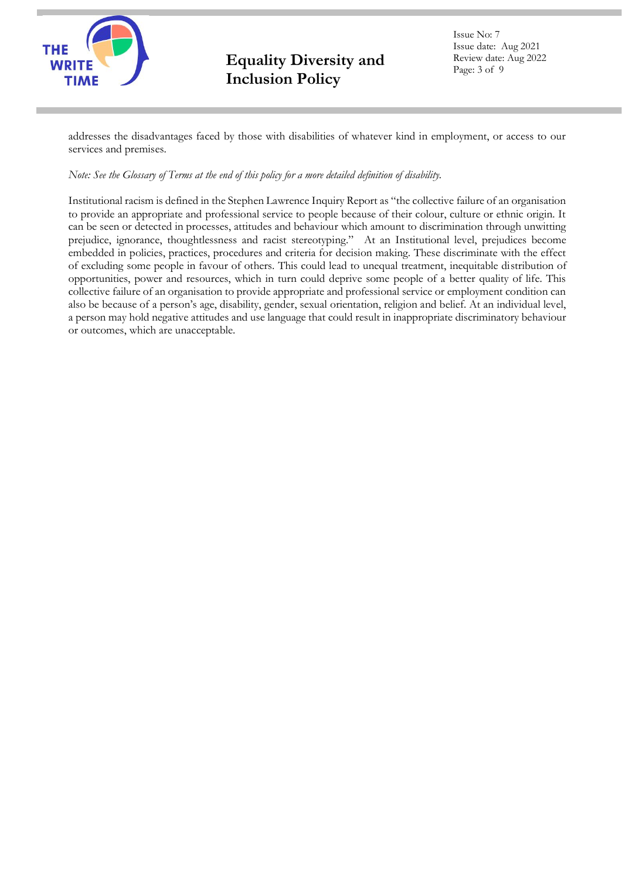

Issue No: 7 Issue date: Aug 2021 Review date: Aug 2022 Page: 3 of 9

addresses the disadvantages faced by those with disabilities of whatever kind in employment, or access to our services and premises.

# *Note: See the Glossary of Terms at the end of this policy for a more detailed definition of disability.*

Institutional racism is defined in the Stephen Lawrence Inquiry Report as "the collective failure of an organisation to provide an appropriate and professional service to people because of their colour, culture or ethnic origin. It can be seen or detected in processes, attitudes and behaviour which amount to discrimination through unwitting prejudice, ignorance, thoughtlessness and racist stereotyping." At an Institutional level, prejudices become embedded in policies, practices, procedures and criteria for decision making. These discriminate with the effect of excluding some people in favour of others. This could lead to unequal treatment, inequitable distribution of opportunities, power and resources, which in turn could deprive some people of a better quality of life. This collective failure of an organisation to provide appropriate and professional service or employment condition can also be because of a person's age, disability, gender, sexual orientation, religion and belief. At an individual level, a person may hold negative attitudes and use language that could result in inappropriate discriminatory behaviour or outcomes, which are unacceptable.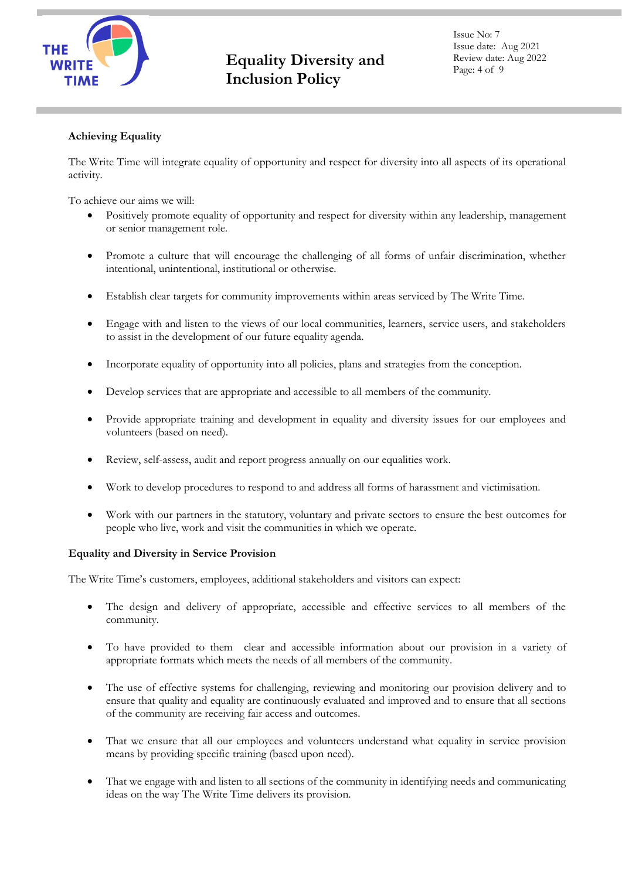

Issue No: 7 Issue date: Aug 2021 Review date: Aug 2022 Page: 4 of 9

# **Achieving Equality**

The Write Time will integrate equality of opportunity and respect for diversity into all aspects of its operational activity.

To achieve our aims we will:

- Positively promote equality of opportunity and respect for diversity within any leadership, management or senior management role.
- Promote a culture that will encourage the challenging of all forms of unfair discrimination, whether intentional, unintentional, institutional or otherwise.
- Establish clear targets for community improvements within areas serviced by The Write Time.
- Engage with and listen to the views of our local communities, learners, service users, and stakeholders to assist in the development of our future equality agenda.
- Incorporate equality of opportunity into all policies, plans and strategies from the conception.
- Develop services that are appropriate and accessible to all members of the community.
- Provide appropriate training and development in equality and diversity issues for our employees and volunteers (based on need).
- Review, self-assess, audit and report progress annually on our equalities work.
- Work to develop procedures to respond to and address all forms of harassment and victimisation.
- Work with our partners in the statutory, voluntary and private sectors to ensure the best outcomes for people who live, work and visit the communities in which we operate.

## **Equality and Diversity in Service Provision**

The Write Time's customers, employees, additional stakeholders and visitors can expect:

- The design and delivery of appropriate, accessible and effective services to all members of the community.
- To have provided to them clear and accessible information about our provision in a variety of appropriate formats which meets the needs of all members of the community.
- The use of effective systems for challenging, reviewing and monitoring our provision delivery and to ensure that quality and equality are continuously evaluated and improved and to ensure that all sections of the community are receiving fair access and outcomes.
- That we ensure that all our employees and volunteers understand what equality in service provision means by providing specific training (based upon need).
- That we engage with and listen to all sections of the community in identifying needs and communicating ideas on the way The Write Time delivers its provision.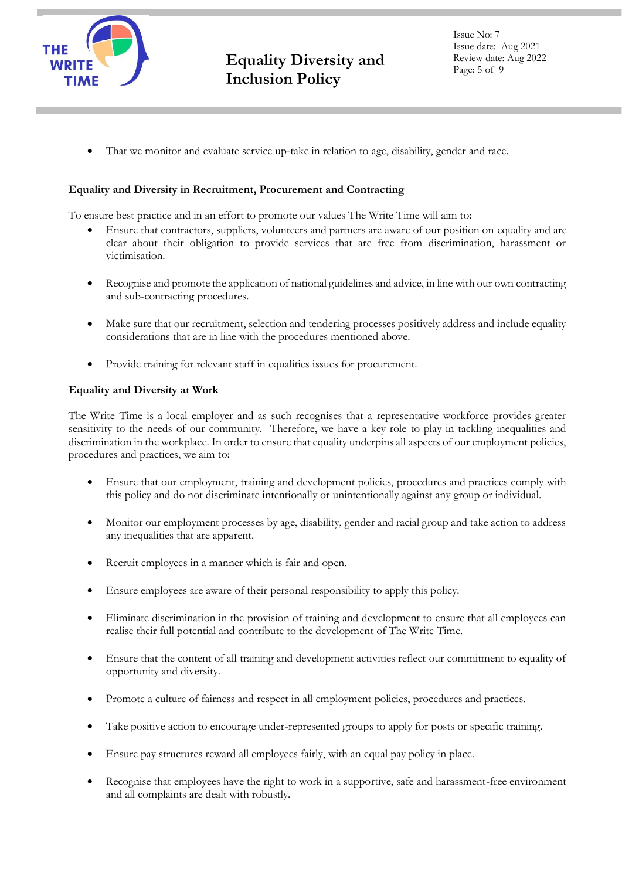

That we monitor and evaluate service up-take in relation to age, disability, gender and race.

# **Equality and Diversity in Recruitment, Procurement and Contracting**

To ensure best practice and in an effort to promote our values The Write Time will aim to:

- Ensure that contractors, suppliers, volunteers and partners are aware of our position on equality and are clear about their obligation to provide services that are free from discrimination, harassment or victimisation.
- Recognise and promote the application of national guidelines and advice, in line with our own contracting and sub-contracting procedures.
- Make sure that our recruitment, selection and tendering processes positively address and include equality considerations that are in line with the procedures mentioned above.
- Provide training for relevant staff in equalities issues for procurement.

## **Equality and Diversity at Work**

The Write Time is a local employer and as such recognises that a representative workforce provides greater sensitivity to the needs of our community. Therefore, we have a key role to play in tackling inequalities and discrimination in the workplace. In order to ensure that equality underpins all aspects of our employment policies, procedures and practices, we aim to:

- Ensure that our employment, training and development policies, procedures and practices comply with this policy and do not discriminate intentionally or unintentionally against any group or individual.
- Monitor our employment processes by age, disability, gender and racial group and take action to address any inequalities that are apparent.
- Recruit employees in a manner which is fair and open.
- Ensure employees are aware of their personal responsibility to apply this policy.
- Eliminate discrimination in the provision of training and development to ensure that all employees can realise their full potential and contribute to the development of The Write Time.
- Ensure that the content of all training and development activities reflect our commitment to equality of opportunity and diversity.
- Promote a culture of fairness and respect in all employment policies, procedures and practices.
- Take positive action to encourage under-represented groups to apply for posts or specific training.
- Ensure pay structures reward all employees fairly, with an equal pay policy in place.
- Recognise that employees have the right to work in a supportive, safe and harassment-free environment and all complaints are dealt with robustly.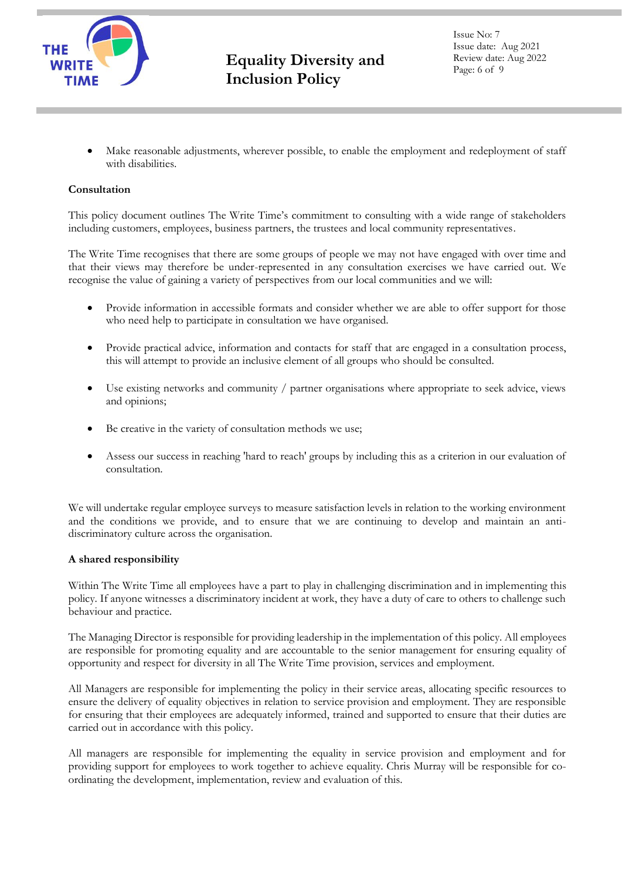

Issue No: 7 Issue date: Aug 2021 Review date: Aug 2022 Page: 6 of 9

Make reasonable adjustments, wherever possible, to enable the employment and redeployment of staff with disabilities.

# **Consultation**

This policy document outlines The Write Time's commitment to consulting with a wide range of stakeholders including customers, employees, business partners, the trustees and local community representatives.

The Write Time recognises that there are some groups of people we may not have engaged with over time and that their views may therefore be under-represented in any consultation exercises we have carried out. We recognise the value of gaining a variety of perspectives from our local communities and we will:

- Provide information in accessible formats and consider whether we are able to offer support for those who need help to participate in consultation we have organised.
- Provide practical advice, information and contacts for staff that are engaged in a consultation process, this will attempt to provide an inclusive element of all groups who should be consulted.
- Use existing networks and community / partner organisations where appropriate to seek advice, views and opinions;
- Be creative in the variety of consultation methods we use;
- Assess our success in reaching 'hard to reach' groups by including this as a criterion in our evaluation of consultation.

We will undertake regular employee surveys to measure satisfaction levels in relation to the working environment and the conditions we provide, and to ensure that we are continuing to develop and maintain an antidiscriminatory culture across the organisation.

## **A shared responsibility**

Within The Write Time all employees have a part to play in challenging discrimination and in implementing this policy. If anyone witnesses a discriminatory incident at work, they have a duty of care to others to challenge such behaviour and practice.

The Managing Director is responsible for providing leadership in the implementation of this policy. All employees are responsible for promoting equality and are accountable to the senior management for ensuring equality of opportunity and respect for diversity in all The Write Time provision, services and employment.

All Managers are responsible for implementing the policy in their service areas, allocating specific resources to ensure the delivery of equality objectives in relation to service provision and employment. They are responsible for ensuring that their employees are adequately informed, trained and supported to ensure that their duties are carried out in accordance with this policy.

All managers are responsible for implementing the equality in service provision and employment and for providing support for employees to work together to achieve equality. Chris Murray will be responsible for coordinating the development, implementation, review and evaluation of this.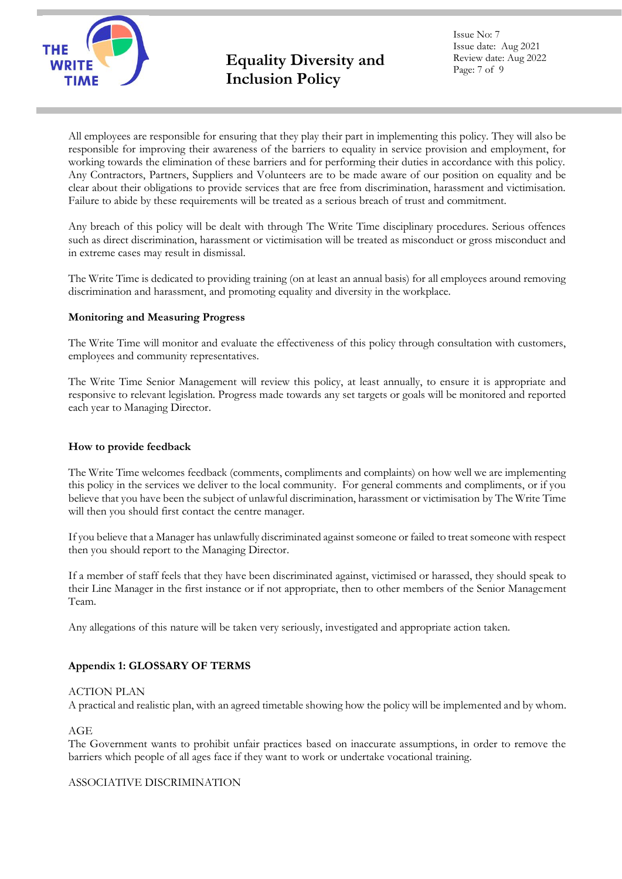

Issue No: 7 Issue date: Aug 2021 Review date: Aug 2022 Page: 7 of 9

All employees are responsible for ensuring that they play their part in implementing this policy. They will also be responsible for improving their awareness of the barriers to equality in service provision and employment, for working towards the elimination of these barriers and for performing their duties in accordance with this policy. Any Contractors, Partners, Suppliers and Volunteers are to be made aware of our position on equality and be clear about their obligations to provide services that are free from discrimination, harassment and victimisation. Failure to abide by these requirements will be treated as a serious breach of trust and commitment.

Any breach of this policy will be dealt with through The Write Time disciplinary procedures. Serious offences such as direct discrimination, harassment or victimisation will be treated as misconduct or gross misconduct and in extreme cases may result in dismissal.

The Write Time is dedicated to providing training (on at least an annual basis) for all employees around removing discrimination and harassment, and promoting equality and diversity in the workplace.

## **Monitoring and Measuring Progress**

The Write Time will monitor and evaluate the effectiveness of this policy through consultation with customers, employees and community representatives.

The Write Time Senior Management will review this policy, at least annually, to ensure it is appropriate and responsive to relevant legislation. Progress made towards any set targets or goals will be monitored and reported each year to Managing Director.

## **How to provide feedback**

The Write Time welcomes feedback (comments, compliments and complaints) on how well we are implementing this policy in the services we deliver to the local community. For general comments and compliments, or if you believe that you have been the subject of unlawful discrimination, harassment or victimisation by The Write Time will then you should first contact the centre manager.

If you believe that a Manager has unlawfully discriminated against someone or failed to treat someone with respect then you should report to the Managing Director.

If a member of staff feels that they have been discriminated against, victimised or harassed, they should speak to their Line Manager in the first instance or if not appropriate, then to other members of the Senior Management Team.

Any allegations of this nature will be taken very seriously, investigated and appropriate action taken.

# **Appendix 1: GLOSSARY OF TERMS**

## ACTION PLAN

A practical and realistic plan, with an agreed timetable showing how the policy will be implemented and by whom.

AGE

The Government wants to prohibit unfair practices based on inaccurate assumptions, in order to remove the barriers which people of all ages face if they want to work or undertake vocational training.

## ASSOCIATIVE DISCRIMINATION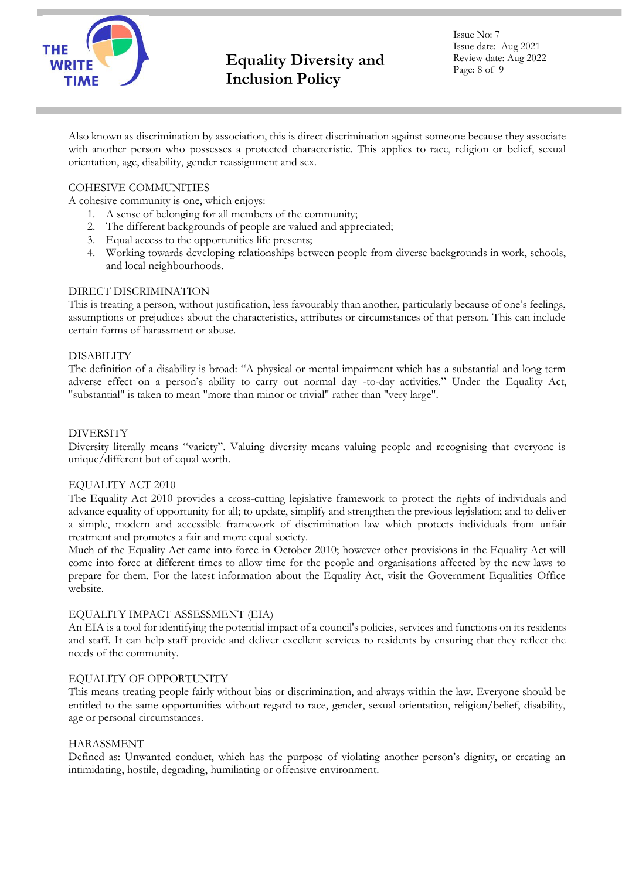

Issue No: 7 Issue date: Aug 2021 Review date: Aug 2022 Page: 8 of 9

Also known as discrimination by association, this is direct discrimination against someone because they associate with another person who possesses a protected characteristic. This applies to race, religion or belief, sexual orientation, age, disability, gender reassignment and sex.

# COHESIVE COMMUNITIES

A cohesive community is one, which enjoys:

- 1. A sense of belonging for all members of the community;
- 2. The different backgrounds of people are valued and appreciated;
- 3. Equal access to the opportunities life presents;
- 4. Working towards developing relationships between people from diverse backgrounds in work, schools, and local neighbourhoods.

### DIRECT DISCRIMINATION

This is treating a person, without justification, less favourably than another, particularly because of one's feelings, assumptions or prejudices about the characteristics, attributes or circumstances of that person. This can include certain forms of harassment or abuse.

#### DISABILITY

The definition of a disability is broad: "A physical or mental impairment which has a substantial and long term adverse effect on a person's ability to carry out normal day -to-day activities." Under the Equality Act, "substantial" is taken to mean "more than minor or trivial" rather than "very large".

#### DIVERSITY

Diversity literally means "variety". Valuing diversity means valuing people and recognising that everyone is unique/different but of equal worth.

## EQUALITY ACT 2010

The Equality Act 2010 provides a cross-cutting legislative framework to protect the rights of individuals and advance equality of opportunity for all; to update, simplify and strengthen the previous legislation; and to deliver a simple, modern and accessible framework of discrimination law which protects individuals from unfair treatment and promotes a fair and more equal society.

Much of the Equality Act came into force in October 2010; however other provisions in the Equality Act will come into force at different times to allow time for the people and organisations affected by the new laws to prepare for them. For the latest information about the Equality Act, visit the Government Equalities Office website.

## EQUALITY IMPACT ASSESSMENT (EIA)

An EIA is a tool for identifying the potential impact of a council's policies, services and functions on its residents and staff. It can help staff provide and deliver excellent services to residents by ensuring that they reflect the needs of the community.

## EQUALITY OF OPPORTUNITY

This means treating people fairly without bias or discrimination, and always within the law. Everyone should be entitled to the same opportunities without regard to race, gender, sexual orientation, religion/belief, disability, age or personal circumstances.

## HARASSMENT

Defined as: Unwanted conduct, which has the purpose of violating another person's dignity, or creating an intimidating, hostile, degrading, humiliating or offensive environment.